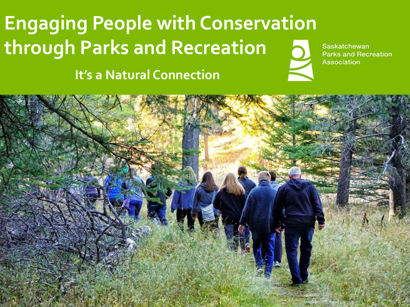# **Engaging People with Conservation through Parks and Recreation**

**It's a Natural Connection**



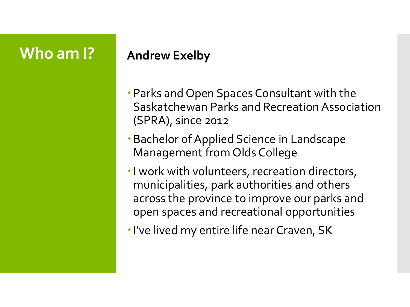### **Who am I? Andrew Exelby**

- Parks and Open Spaces Consultant with the Saskatchewan Parks and Recreation Association (SPRA), since 2012
- Bachelor of Applied Science in Landscape Management from Olds College
- I work with volunteers, recreation directors, municipalities, park authorities and others across the province to improve our parks and open spaces and recreational opportunities
- I've lived my entire life near Craven, SK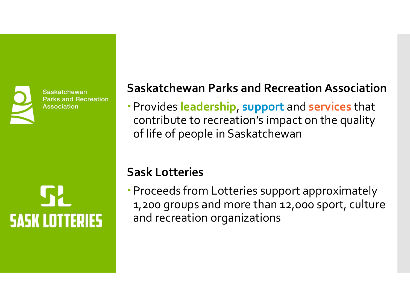Saskatchewan **Parks and Recreation Association** 

**SASK LOTTERIES** 

### **Saskatchewan Parks and Recreation Association**

Provides **leadership**, **support** and **services** that contribute to recreation's impact on the quality of life of people in Saskatchewan

### **Sask Lotteries**

Proceeds from Lotteries support approximately 1,200 groups and more than 12,000 sport, culture and recreation organizations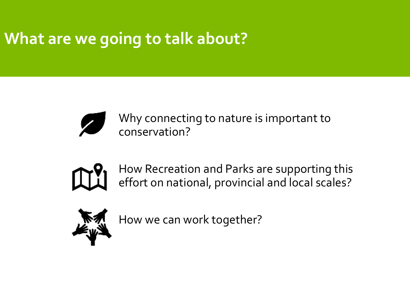### **What are we going to talk about?**



Why connecting to nature is important to conservation?



How Recreation and Parks are supporting this effort on national, provincial and local scales?



How we can work together?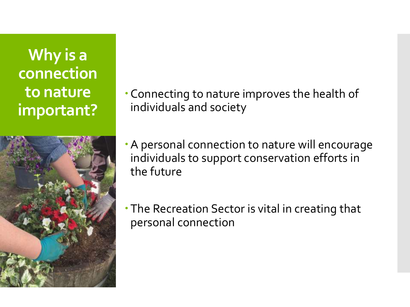**Why is a connection to nature important?**



Connecting to nature improves the health of individuals and society

A personal connection to nature will encourage individuals to support conservation efforts in the future

The Recreation Sector is vital in creating that personal connection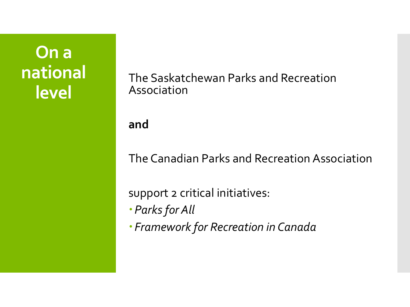## **On a national level**

The Saskatchewan Parks and Recreation Association

#### **and**

The Canadian Parks and Recreation Association

support 2 critical initiatives:

- *Parks for All*
- *Framework for Recreation in Canada*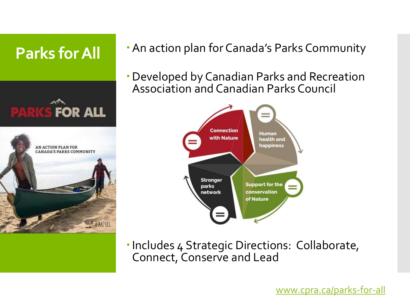

- **Parks for All Community** An action plan for Canada's Parks Community
	- Developed by Canadian Parks and Recreation Association and Canadian Parks Council



Includes 4 Strategic Directions: Collaborate, Connect, Conserve and Lead

[www.cpra.ca/parks-for-all](http://www.cpra.ca/parks-for-all)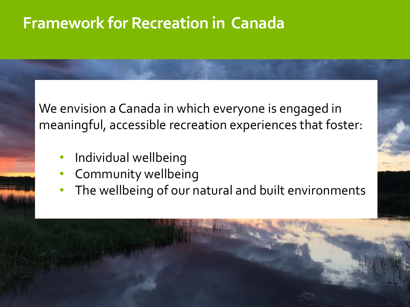### **Framework for Recreation in Canada**

We envision a Canada in which everyone is engaged in meaningful, accessible recreation experiences that foster:

- Individual wellbeing
- Community wellbeing
- The wellbeing of our natural and built environments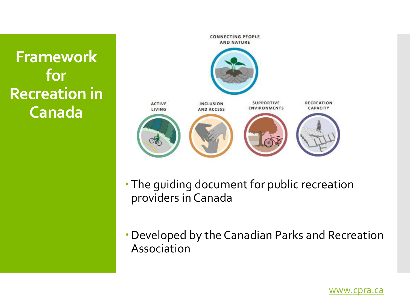**Framework for Recreation in Canada**



- The guiding document for public recreation providers in Canada
- Developed by the Canadian Parks and Recreation Association

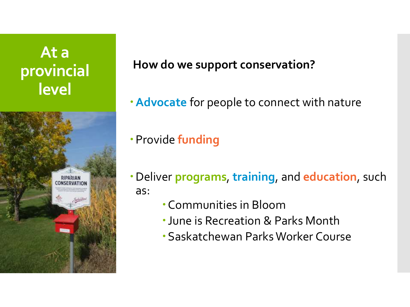### **At a provincial level**



### **How do we support conservation?**

**Advocate** for people to connect with nature

Provide **funding**

- Deliver **programs**, **training**, and **education**, such as:
	- Communities in Bloom
	- June is Recreation & Parks Month
	- Saskatchewan Parks Worker Course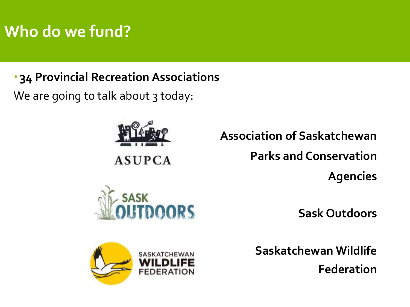## **Who do we fund?**

### **34 Provincial Recreation Associations**

We are going to talk about 3 today:



**Association of Saskatchewan Parks and Conservation Agencies**



**Sask Outdoors**



**Saskatchewan Wildlife Federation**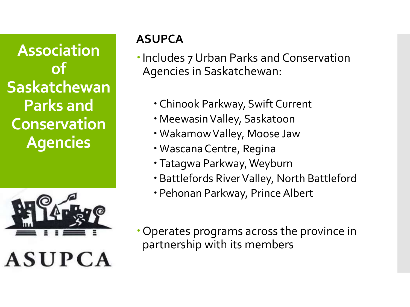**Association of Saskatchewan Parks and Conservation Agencies**



### **ASUPCA**

Includes 7 Urban Parks and Conservation Agencies in Saskatchewan:

- Chinook Parkway, Swift Current
- MeewasinValley, Saskatoon
- WakamowValley, Moose Jaw
- Wascana Centre, Regina
- Tatagwa Parkway, Weyburn
- Battlefords River Valley, North Battleford
- Pehonan Parkway, Prince Albert
- Operates programs across the province in partnership with its members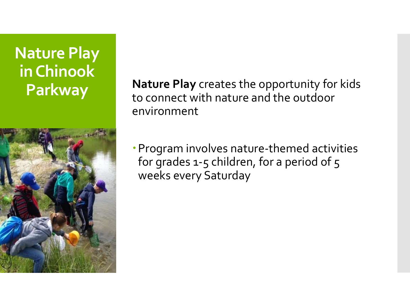# **Nature Play in Chinook**



**Parkway Nature Play** creates the opportunity for kids to connect with nature and the outdoor environment

> Program involves nature-themed activities for grades 1-5 children, for a period of 5 weeks every Saturday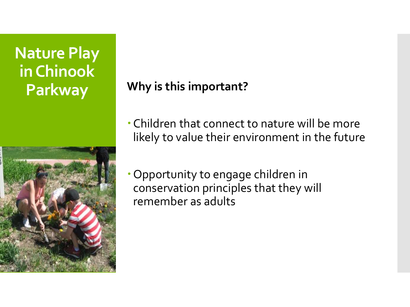# **Nature Play in Chinook**



**Parkway Why is this important?**

- Children that connect to nature will be more likely to value their environment in the future
- Opportunity to engage children in conservation principles that they will remember as adults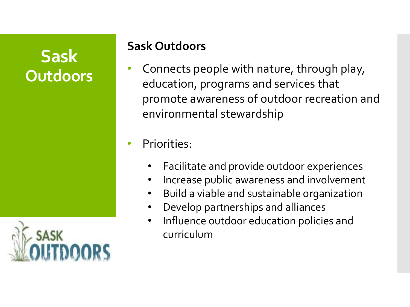### **Sask Outdoors**



### **Sask Outdoors**

• Connects people with nature, through play, education, programs and services that promote awareness of outdoor recreation and environmental stewardship

Priorities:

- Facilitate and provide outdoor experiences
- Increase public awareness and involvement
- Build a viable and sustainable organization
- Develop partnerships and alliances
- Influence outdoor education policies and curriculum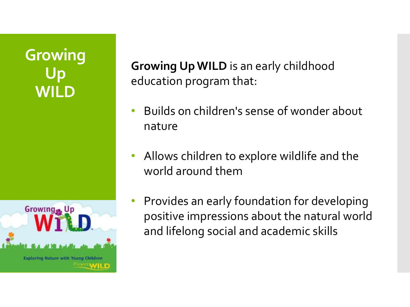### **Growing Up WILD**



**Growing Up WILD** is an early childhood education program that:

- Builds on children's sense of wonder about nature
- Allows children to explore wildlife and the world around them
- Provides an early foundation for developing positive impressions about the natural world and lifelong social and academic skills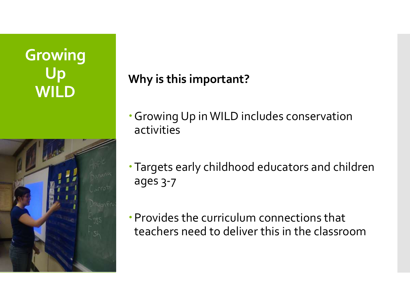### **Growing Up WILD**



### **Why is this important?**

- Growing Up in WILD includes conservation activities
- Targets early childhood educators and children ages 3-7
- Provides the curriculum connections that teachers need to deliver this in the classroom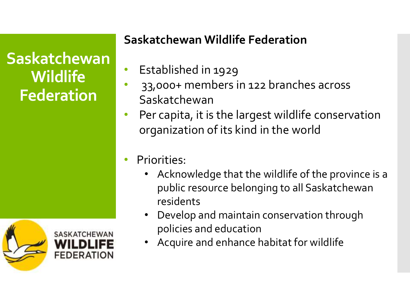**Saskatchewan Wildlife Federation**



### **Saskatchewan Wildlife Federation**

- Established in 1929
- 33,000+ members in 122 branches across Saskatchewan
- Per capita, it is the largest wildlife conservation organization of its kind in the world
- Priorities:
	- Acknowledge that the wildlife of the province is a public resource belonging to all Saskatchewan residents
	- Develop and maintain conservation through policies and education
	- Acquire and enhance habitat for wildlife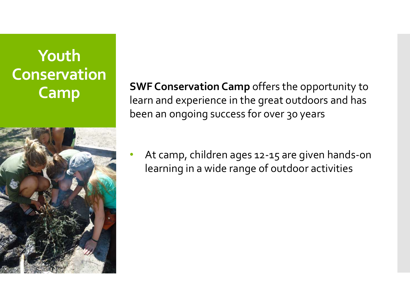# **Youth Conservation**



**Camp SWF Conservation Camp** offers the opportunity to learn and experience in the great outdoors and has been an ongoing success for over 30 years

> • At camp, children ages 12-15 are given hands-on learning in a wide range of outdoor activities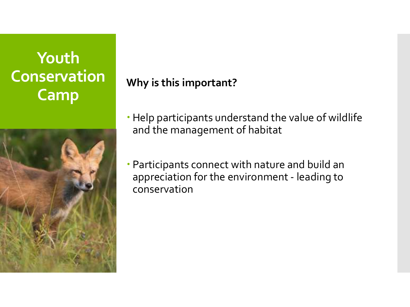### **Youth Conservation Camp**



**Why is this important?**

- Help participants understand the value of wildlife and the management of habitat
- Participants connect with nature and build an appreciation for the environment - leading to conservation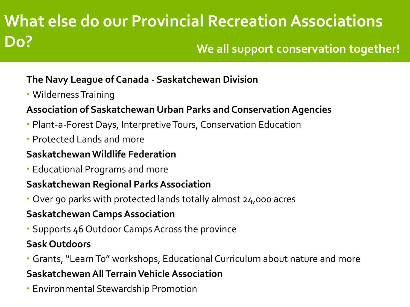### **What else do our Provincial Recreation Associations Do? We all support conservation together!**

#### **The Navy League of Canada - Saskatchewan Division**

Wilderness Training

#### **Association of Saskatchewan Urban Parks and Conservation Agencies**

- Plant-a-Forest Days, Interpretive Tours, Conservation Education
- Protected Lands and more

#### **Saskatchewan Wildlife Federation**

Educational Programs and more

#### **Saskatchewan Regional Parks Association**

Over 90 parks with protected lands totally almost 24,000 acres

#### **Saskatchewan Camps Association**

Supports 46 Outdoor Camps Across the province

#### **Sask Outdoors**

Grants, "Learn To" workshops, Educational Curriculum about nature and more

#### **Saskatchewan All Terrain Vehicle Association**

Environmental Stewardship Promotion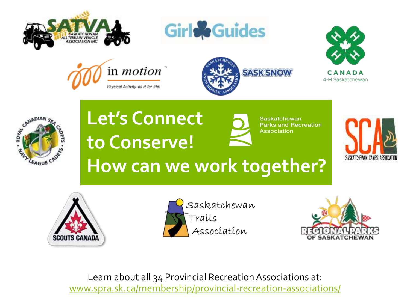











# **Let's Connect to Conserve!**



**Saskatchewan Parks and Recreation Association** 







**How can we work together?**



Learn about all 34 Provincial Recreation Associations at: [www.spra.sk.ca/membership/provincial-recreation-associations/](http://www.spra.sk.ca/membership/provincial-recreation-associations/)